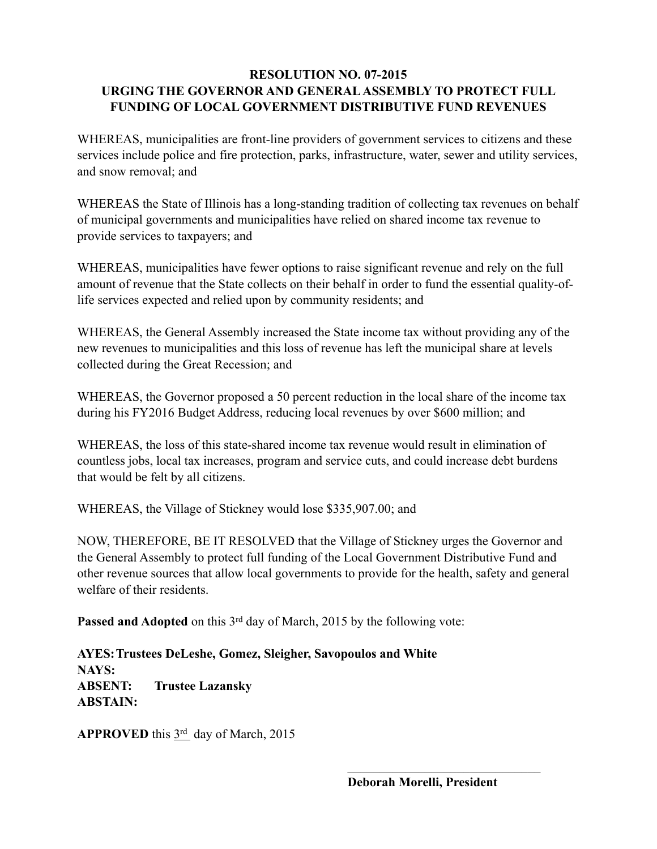## **RESOLUTION NO. 07-2015 URGING THE GOVERNOR AND GENERAL ASSEMBLY TO PROTECT FULL FUNDING OF LOCAL GOVERNMENT DISTRIBUTIVE FUND REVENUES**

WHEREAS, municipalities are front-line providers of government services to citizens and these services include police and fire protection, parks, infrastructure, water, sewer and utility services, and snow removal; and

WHEREAS the State of Illinois has a long-standing tradition of collecting tax revenues on behalf of municipal governments and municipalities have relied on shared income tax revenue to provide services to taxpayers; and

WHEREAS, municipalities have fewer options to raise significant revenue and rely on the full amount of revenue that the State collects on their behalf in order to fund the essential quality-oflife services expected and relied upon by community residents; and

WHEREAS, the General Assembly increased the State income tax without providing any of the new revenues to municipalities and this loss of revenue has left the municipal share at levels collected during the Great Recession; and

WHEREAS, the Governor proposed a 50 percent reduction in the local share of the income tax during his FY2016 Budget Address, reducing local revenues by over \$600 million; and

WHEREAS, the loss of this state-shared income tax revenue would result in elimination of countless jobs, local tax increases, program and service cuts, and could increase debt burdens that would be felt by all citizens.

WHEREAS, the Village of Stickney would lose \$335,907.00; and

NOW, THEREFORE, BE IT RESOLVED that the Village of Stickney urges the Governor and the General Assembly to protect full funding of the Local Government Distributive Fund and other revenue sources that allow local governments to provide for the health, safety and general welfare of their residents.

 $\mathcal{L}_\text{max}$  and  $\mathcal{L}_\text{max}$  and  $\mathcal{L}_\text{max}$  and  $\mathcal{L}_\text{max}$  and  $\mathcal{L}_\text{max}$  and  $\mathcal{L}_\text{max}$ 

Passed and Adopted on this 3<sup>rd</sup> day of March, 2015 by the following vote:

**AYES: Trustees DeLeshe, Gomez, Sleigher, Savopoulos and White NAYS: ABSENT: Trustee Lazansky ABSTAIN:**

**APPROVED** this  $3<sup>rd</sup>$  day of March, 2015

**Deborah Morelli, President**